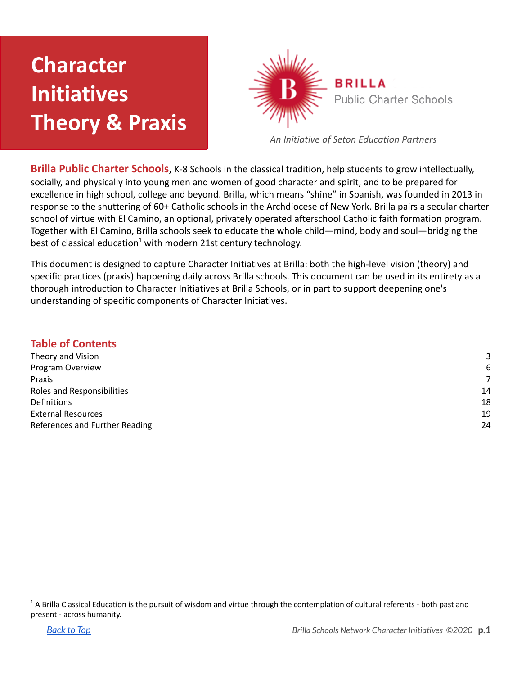# **Character Initiatives Theory & Praxis**



*An Initiative of Seton Education Partners*

**Brilla Public Charter Schools**, K-8 Schools in the classical tradition, help students to grow intellectually, socially, and physically into young men and women of good character and spirit, and to be prepared for excellence in high school, college and beyond. Brilla, which means "shine" in Spanish, was founded in 2013 in response to the shuttering of 60+ Catholic schools in the Archdiocese of New York. Brilla pairs a secular charter school of virtue with El Camino, an optional, privately operated afterschool Catholic faith formation program. Together with El Camino, Brilla schools seek to educate the whole child—mind, body and soul—bridging the best of classical education<sup>1</sup> with modern 21st century technology.

This document is designed to capture Character Initiatives at Brilla: both the high-level vision (theory) and specific practices (praxis) happening daily across Brilla schools. This document can be used in its entirety as a thorough introduction to Character Initiatives at Brilla Schools, or in part to support deepening one's understanding of specific components of Character Initiatives.

#### **Table of Contents**

| Theory and Vision              | 3  |
|--------------------------------|----|
| Program Overview               | 6  |
| Praxis                         | 7  |
| Roles and Responsibilities     | 14 |
| Definitions                    | 18 |
| <b>External Resources</b>      | 19 |
| References and Further Reading | 24 |
|                                |    |

<sup>&</sup>lt;sup>1</sup> A Brilla Classical Education is the pursuit of wisdom and virtue through the contemplation of cultural referents - both past and present - across humanity.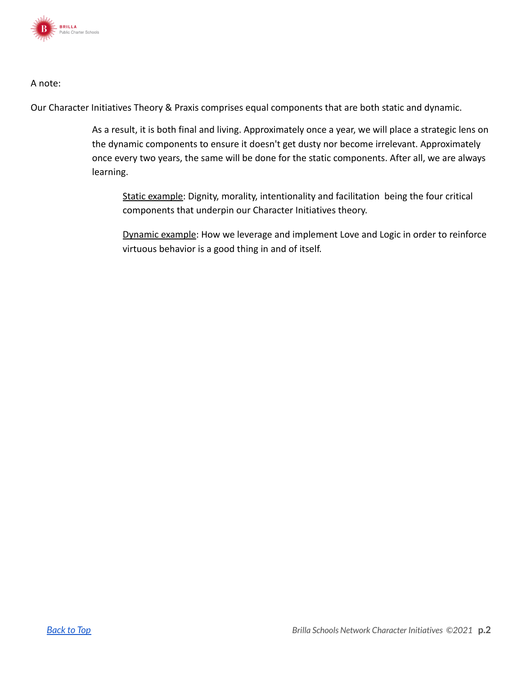

#### A note:

Our Character Initiatives Theory & Praxis comprises equal components that are both static and dynamic.

As a result, it is both final and living. Approximately once a year, we will place a strategic lens on the dynamic components to ensure it doesn't get dusty nor become irrelevant. Approximately once every two years, the same will be done for the static components. After all, we are always learning.

Static example: Dignity, morality, intentionality and facilitation being the four critical components that underpin our Character Initiatives theory.

Dynamic example: How we leverage and implement Love and Logic in order to reinforce virtuous behavior is a good thing in and of itself.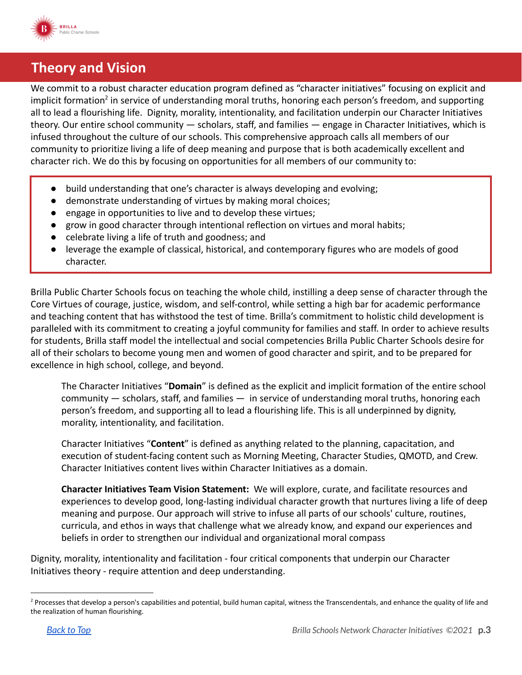

### <span id="page-2-0"></span>**Theory and Vision**

We commit to a robust character education program defined as "character initiatives" focusing on explicit and implicit formation<sup>2</sup> in service of understanding moral truths, honoring each person's freedom, and supporting all to lead a flourishing life. Dignity, morality, intentionality, and facilitation underpin our Character Initiatives theory. Our entire school community — scholars, staff, and families — engage in Character Initiatives, which is infused throughout the culture of our schools. This comprehensive approach calls all members of our community to prioritize living a life of deep meaning and purpose that is both academically excellent and character rich. We do this by focusing on opportunities for all members of our community to:

- build understanding that one's character is always developing and evolving;
- demonstrate understanding of virtues by making moral choices;
- engage in opportunities to live and to develop these virtues;
- grow in good character through intentional reflection on virtues and moral habits;
- celebrate living a life of truth and goodness; and
- leverage the example of classical, historical, and contemporary figures who are models of good character.

Brilla Public Charter Schools focus on teaching the whole child, instilling a deep sense of character through the Core Virtues of courage, justice, wisdom, and self-control, while setting a high bar for academic performance and teaching content that has withstood the test of time. Brilla's commitment to holistic child development is paralleled with its commitment to creating a joyful community for families and staff. In order to achieve results for students, Brilla staff model the intellectual and social competencies Brilla Public Charter Schools desire for all of their scholars to become young men and women of good character and spirit, and to be prepared for excellence in high school, college, and beyond.

The Character Initiatives "**Domain**" is defined as the explicit and implicit formation of the entire school community — scholars, staff, and families — in service of understanding moral truths, honoring each person's freedom, and supporting all to lead a flourishing life. This is all underpinned by dignity, morality, intentionality, and facilitation.

Character Initiatives "**Content**" is defined as anything related to the planning, capacitation, and execution of student-facing content such as Morning Meeting, Character Studies, QMOTD, and Crew. Character Initiatives content lives within Character Initiatives as a domain.

**Character Initiatives Team Vision Statement:** We will explore, curate, and facilitate resources and experiences to develop good, long-lasting individual character growth that nurtures living a life of deep meaning and purpose. Our approach will strive to infuse all parts of our schools' culture, routines, curricula, and ethos in ways that challenge what we already know, and expand our experiences and beliefs in order to strengthen our individual and organizational moral compass

Dignity, morality, intentionality and facilitation - four critical components that underpin our Character Initiatives theory - require attention and deep understanding.

<sup>&</sup>lt;sup>2</sup> Processes that develop a person's capabilities and potential, build human capital, witness the Transcendentals, and enhance the quality of life and the realization of human flourishing.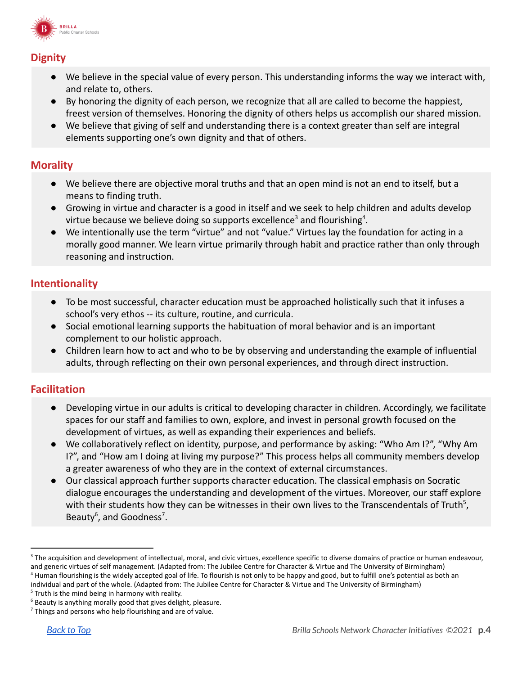

### **Dignity**

- We believe in the special value of every person. This understanding informs the way we interact with, and relate to, others.
- By honoring the dignity of each person, we recognize that all are called to become the happiest, freest version of themselves. Honoring the dignity of others helps us accomplish our shared mission.
- We believe that giving of self and understanding there is a context greater than self are integral elements supporting one's own dignity and that of others.

#### **Morality**

- We believe there are objective moral truths and that an open mind is not an end to itself, but a means to finding truth.
- Growing in virtue and character is a good in itself and we seek to help children and adults develop virtue because we believe doing so supports excellence<sup>3</sup> and flourishing<sup>4</sup>.
- We intentionally use the term "virtue" and not "value." Virtues lay the foundation for acting in a morally good manner. We learn virtue primarily through habit and practice rather than only through reasoning and instruction.

### **Intentionality**

- To be most successful, character education must be approached holistically such that it infuses a school's very ethos -- its culture, routine, and curricula.
- Social emotional learning supports the habituation of moral behavior and is an important complement to our holistic approach.
- Children learn how to act and who to be by observing and understanding the example of influential adults, through reflecting on their own personal experiences, and through direct instruction.

#### **Facilitation**

- Developing virtue in our adults is critical to developing character in children. Accordingly, we facilitate spaces for our staff and families to own, explore, and invest in personal growth focused on the development of virtues, as well as expanding their experiences and beliefs.
- We collaboratively reflect on identity, purpose, and performance by asking: "Who Am I?", "Why Am I?", and "How am I doing at living my purpose?" This process helps all community members develop a greater awareness of who they are in the context of external circumstances.
- Our classical approach further supports character education. The classical emphasis on Socratic dialogue encourages the understanding and development of the virtues. Moreover, our staff explore with their students how they can be witnesses in their own lives to the Transcendentals of Truth<sup>5</sup>, Beauty<sup>6</sup>, and Goodness<sup>7</sup>.

<sup>&</sup>lt;sup>4</sup> Human flourishing is the widely accepted goal of life. To flourish is not only to be happy and good, but to fulfill one's potential as both an individual and part of the whole. (Adapted from: The Jubilee Centre for Character & Virtue and The University of Birmingham) <sup>3</sup> The acquisition and development of intellectual, moral, and civic virtues, excellence specific to diverse domains of practice or human endeavour, and generic virtues of self management. (Adapted from: The Jubilee Centre for Character & Virtue and The University of Birmingham)

 $5$  Truth is the mind being in harmony with reality.

 $6$  Beauty is anything morally good that gives delight, pleasure.

 $7$  Things and persons who help flourishing and are of value.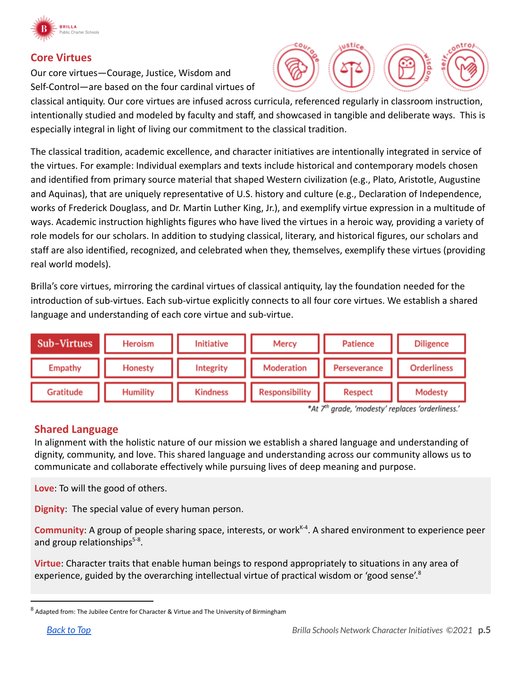

#### **Core Virtues**

Our core virtues—Courage, Justice, Wisdom and Self-Control—are based on the four cardinal virtues of



classical antiquity. Our core virtues are infused across curricula, referenced regularly in classroom instruction, intentionally studied and modeled by faculty and staff, and showcased in tangible and deliberate ways. This is especially integral in light of living our commitment to the classical tradition.

The classical tradition, academic excellence, and character initiatives are intentionally integrated in service of the virtues. For example: Individual exemplars and texts include historical and contemporary models chosen and identified from primary source material that shaped Western civilization (e.g., Plato, Aristotle, Augustine and Aquinas), that are uniquely representative of U.S. history and culture (e.g., Declaration of Independence, works of Frederick Douglass, and Dr. Martin Luther King, Jr.), and exemplify virtue expression in a multitude of ways. Academic instruction highlights figures who have lived the virtues in a heroic way, providing a variety of role models for our scholars. In addition to studying classical, literary, and historical figures, our scholars and staff are also identified, recognized, and celebrated when they, themselves, exemplify these virtues (providing real world models).

Brilla's core virtues, mirroring the cardinal virtues of classical antiquity, lay the foundation needed for the introduction of sub-virtues. Each sub-virtue explicitly connects to all four core virtues. We establish a shared language and understanding of each core virtue and sub-virtue.



\*At 7<sup>th</sup> grade, 'modesty' replaces 'orderliness.'

#### **Shared Language**

In alignment with the holistic nature of our mission we establish a shared language and understanding of dignity, community, and love. This shared language and understanding across our community allows us to communicate and collaborate effectively while pursuing lives of deep meaning and purpose.

**Love**: To will the good of others.

**Dignity**: The special value of every human person.

Community: A group of people sharing space, interests, or work<sup>K-4</sup>. A shared environment to experience peer and group relationships<sup>5-8</sup>.

**Virtue**: Character traits that enable human beings to respond appropriately to situations in any area of experience, guided by the overarching intellectual virtue of practical wisdom or 'good sense'.<sup>8</sup>

<sup>&</sup>lt;sup>8</sup> Adapted from: The Jubilee Centre for Character & Virtue and The University of Birmingham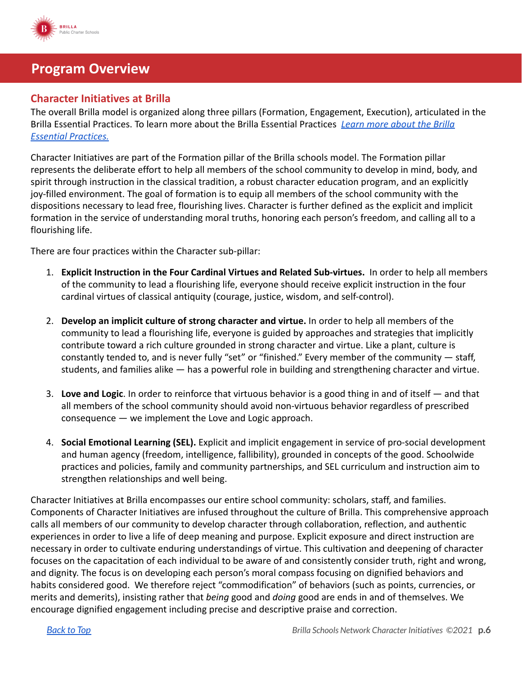

### <span id="page-5-0"></span>**Program Overview**

#### **Character Initiatives at Brilla**

The overall Brilla model is organized along three pillars (Formation, Engagement, Execution), articulated in the Brilla Essential Practices. To learn more about the Brilla Essential Practices *[Learn more about the](https://drive.google.com/file/d/12knV0VVN6bCtZB8MlihCcacChnSjFV0I/view) Brilla [Essential Practices.](https://drive.google.com/file/d/12knV0VVN6bCtZB8MlihCcacChnSjFV0I/view)*

Character Initiatives are part of the Formation pillar of the Brilla schools model. The Formation pillar represents the deliberate effort to help all members of the school community to develop in mind, body, and spirit through instruction in the classical tradition, a robust character education program, and an explicitly joy-filled environment. The goal of formation is to equip all members of the school community with the dispositions necessary to lead free, flourishing lives. Character is further defined as the explicit and implicit formation in the service of understanding moral truths, honoring each person's freedom, and calling all to a flourishing life.

There are four practices within the Character sub-pillar:

- 1. **Explicit Instruction in the Four Cardinal Virtues and Related Sub-virtues.** In order to help all members of the community to lead a flourishing life, everyone should receive explicit instruction in the four cardinal virtues of classical antiquity (courage, justice, wisdom, and self-control).
- 2. **Develop an implicit culture of strong character and virtue.** In order to help all members of the community to lead a flourishing life, everyone is guided by approaches and strategies that implicitly contribute toward a rich culture grounded in strong character and virtue. Like a plant, culture is constantly tended to, and is never fully "set" or "finished." Every member of the community — staff, students, and families alike — has a powerful role in building and strengthening character and virtue.
- 3. **Love and Logic**. In order to reinforce that virtuous behavior is a good thing in and of itself and that all members of the school community should avoid non-virtuous behavior regardless of prescribed consequence — we implement the Love and Logic approach.
- 4. **Social Emotional Learning (SEL).** Explicit and implicit engagement in service of pro-social development and human agency (freedom, intelligence, fallibility), grounded in concepts of the good. Schoolwide practices and policies, family and community partnerships, and SEL curriculum and instruction aim to strengthen relationships and well being.

Character Initiatives at Brilla encompasses our entire school community: scholars, staff, and families. Components of Character Initiatives are infused throughout the culture of Brilla. This comprehensive approach calls all members of our community to develop character through collaboration, reflection, and authentic experiences in order to live a life of deep meaning and purpose. Explicit exposure and direct instruction are necessary in order to cultivate enduring understandings of virtue. This cultivation and deepening of character focuses on the capacitation of each individual to be aware of and consistently consider truth, right and wrong, and dignity. The focus is on developing each person's moral compass focusing on dignified behaviors and habits considered good. We therefore reject "commodification" of behaviors (such as points, currencies, or merits and demerits), insisting rather that *being* good and *doing* good are ends in and of themselves. We encourage dignified engagement including precise and descriptive praise and correction.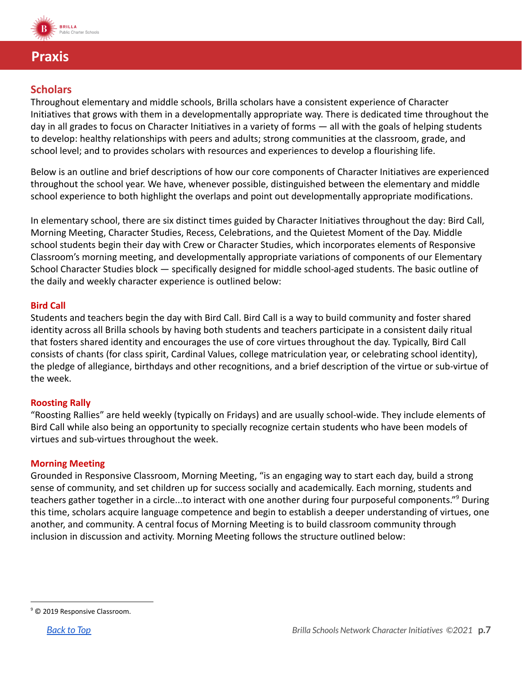

### <span id="page-6-0"></span>**Praxis**

#### **Scholars**

Throughout elementary and middle schools, Brilla scholars have a consistent experience of Character Initiatives that grows with them in a developmentally appropriate way. There is dedicated time throughout the day in all grades to focus on Character Initiatives in a variety of forms — all with the goals of helping students to develop: healthy relationships with peers and adults; strong communities at the classroom, grade, and school level; and to provides scholars with resources and experiences to develop a flourishing life.

Below is an outline and brief descriptions of how our core components of Character Initiatives are experienced throughout the school year. We have, whenever possible, distinguished between the elementary and middle school experience to both highlight the overlaps and point out developmentally appropriate modifications.

In elementary school, there are six distinct times guided by Character Initiatives throughout the day: Bird Call, Morning Meeting, Character Studies, Recess, Celebrations, and the Quietest Moment of the Day. Middle school students begin their day with Crew or Character Studies, which incorporates elements of Responsive Classroom's morning meeting, and developmentally appropriate variations of components of our Elementary School Character Studies block — specifically designed for middle school-aged students. The basic outline of the daily and weekly character experience is outlined below:

#### **Bird Call**

Students and teachers begin the day with Bird Call. Bird Call is a way to build community and foster shared identity across all Brilla schools by having both students and teachers participate in a consistent daily ritual that fosters shared identity and encourages the use of core virtues throughout the day. Typically, Bird Call consists of chants (for class spirit, Cardinal Values, college matriculation year, or celebrating school identity), the pledge of allegiance, birthdays and other recognitions, and a brief description of the virtue or sub-virtue of the week.

#### **Roosting Rally**

"Roosting Rallies" are held weekly (typically on Fridays) and are usually school-wide. They include elements of Bird Call while also being an opportunity to specially recognize certain students who have been models of virtues and sub-virtues throughout the week.

#### **Morning Meeting**

Grounded in Responsive Classroom, Morning Meeting, "is an engaging way to start each day, build a strong sense of community, and set children up for success socially and academically. Each morning, students and teachers gather together in a circle...to interact with one another during four purposeful components." During this time, scholars acquire language competence and begin to establish a deeper understanding of virtues, one another, and community. A central focus of Morning Meeting is to build classroom community through inclusion in discussion and activity. Morning Meeting follows the structure outlined below:

<sup>&</sup>lt;sup>9</sup> © 2019 Responsive Classroom.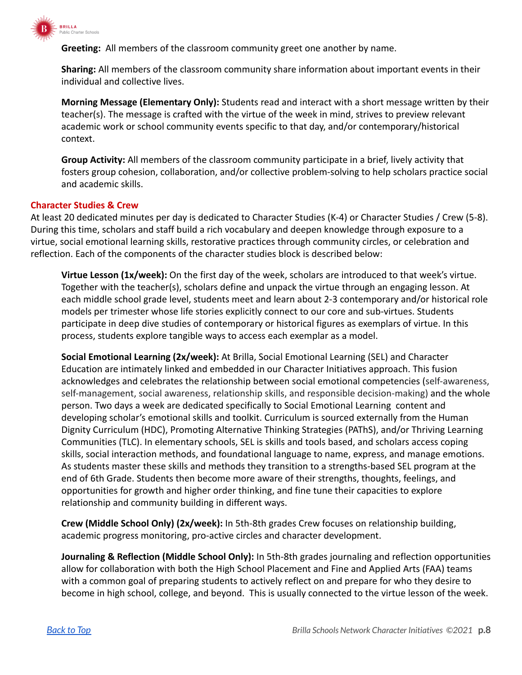

**Greeting:** All members of the classroom community greet one another by name.

**Sharing:** All members of the classroom community share information about important events in their individual and collective lives.

**Morning Message (Elementary Only):** Students read and interact with a short message written by their teacher(s). The message is crafted with the virtue of the week in mind, strives to preview relevant academic work or school community events specific to that day, and/or contemporary/historical context.

**Group Activity:** All members of the classroom community participate in a brief, lively activity that fosters group cohesion, collaboration, and/or collective problem-solving to help scholars practice social and academic skills.

#### **Character Studies & Crew**

At least 20 dedicated minutes per day is dedicated to Character Studies (K-4) or Character Studies / Crew (5-8). During this time, scholars and staff build a rich vocabulary and deepen knowledge through exposure to a virtue, social emotional learning skills, restorative practices through community circles, or celebration and reflection. Each of the components of the character studies block is described below:

**Virtue Lesson (1x/week):** On the first day of the week, scholars are introduced to that week's virtue. Together with the teacher(s), scholars define and unpack the virtue through an engaging lesson. At each middle school grade level, students meet and learn about 2-3 contemporary and/or historical role models per trimester whose life stories explicitly connect to our core and sub-virtues. Students participate in deep dive studies of contemporary or historical figures as exemplars of virtue. In this process, students explore tangible ways to access each exemplar as a model.

**Social Emotional Learning (2x/week):** At Brilla, Social Emotional Learning (SEL) and Character Education are intimately linked and embedded in our Character Initiatives approach. This fusion acknowledges and celebrates the relationship between social emotional competencies (self-awareness, self-management, social awareness, relationship skills, and responsible decision-making) and the whole person. Two days a week are dedicated specifically to Social Emotional Learning content and developing scholar's emotional skills and toolkit. Curriculum is sourced externally from the Human Dignity Curriculum (HDC), Promoting Alternative Thinking Strategies (PAThS), and/or Thriving Learning Communities (TLC). In elementary schools, SEL is skills and tools based, and scholars access coping skills, social interaction methods, and foundational language to name, express, and manage emotions. As students master these skills and methods they transition to a strengths-based SEL program at the end of 6th Grade. Students then become more aware of their strengths, thoughts, feelings, and opportunities for growth and higher order thinking, and fine tune their capacities to explore relationship and community building in different ways.

**Crew (Middle School Only) (2x/week):** In 5th-8th grades Crew focuses on relationship building, academic progress monitoring, pro-active circles and character development.

**Journaling & Reflection (Middle School Only):** In 5th-8th grades journaling and reflection opportunities allow for collaboration with both the High School Placement and Fine and Applied Arts (FAA) teams with a common goal of preparing students to actively reflect on and prepare for who they desire to become in high school, college, and beyond. This is usually connected to the virtue lesson of the week.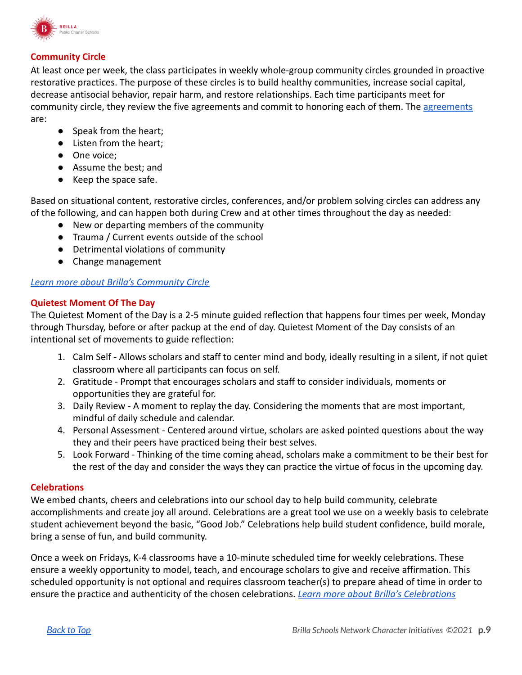

#### **Community Circle**

At least once per week, the class participates in weekly whole-group community circles grounded in proactive restorative practices. The purpose of these circles is to build healthy communities, increase social capital, decrease antisocial behavior, repair harm, and restore relationships. Each time participants meet for community circle, they review the five [agreements](https://drive.google.com/file/d/1HKsTyrkb2KNP8_MF7GZkx0guK_RzbA6B/view?usp=sharing) and commit to honoring each of them. The agreements are:

- Speak from the heart;
- Listen from the heart;
- One voice;
- Assume the best; and
- Keep the space safe.

Based on situational content, restorative circles, conferences, and/or problem solving circles can address any of the following, and can happen both during Crew and at other times throughout the day as needed:

- New or departing members of the community
- Trauma / Current events outside of the school
- Detrimental violations of community
- Change management

#### *[Learn more about Brilla's Community Circle](https://drive.google.com/file/d/1UDIFLcPKZ3_wKEAfm5LXYF_vhR_yaCRX/view?usp=sharing)*

#### **Quietest Moment Of The Day**

The Quietest Moment of the Day is a 2-5 minute guided reflection that happens four times per week, Monday through Thursday, before or after packup at the end of day. Quietest Moment of the Day consists of an intentional set of movements to guide reflection:

- 1. Calm Self Allows scholars and staff to center mind and body, ideally resulting in a silent, if not quiet classroom where all participants can focus on self.
- 2. Gratitude Prompt that encourages scholars and staff to consider individuals, moments or opportunities they are grateful for.
- 3. Daily Review A moment to replay the day. Considering the moments that are most important, mindful of daily schedule and calendar.
- 4. Personal Assessment Centered around virtue, scholars are asked pointed questions about the way they and their peers have practiced being their best selves.
- 5. Look Forward Thinking of the time coming ahead, scholars make a commitment to be their best for the rest of the day and consider the ways they can practice the virtue of focus in the upcoming day.

#### **Celebrations**

We embed chants, cheers and celebrations into our school day to help build community, celebrate accomplishments and create joy all around. Celebrations are a great tool we use on a weekly basis to celebrate student achievement beyond the basic, "Good Job." Celebrations help build student confidence, build morale, bring a sense of fun, and build community.

Once a week on Fridays, K-4 classrooms have a 10-minute scheduled time for weekly celebrations. These ensure a weekly opportunity to model, teach, and encourage scholars to give and receive affirmation. This scheduled opportunity is not optional and requires classroom teacher(s) to prepare ahead of time in order to ensure the practice and authenticity of the chosen celebrations. *[Learn more about Brilla's Celebrations](https://drive.google.com/file/d/1km11QzGiGhvg8Mm6ZNlSDKNdRmuE3D1v/view?usp=sharing)*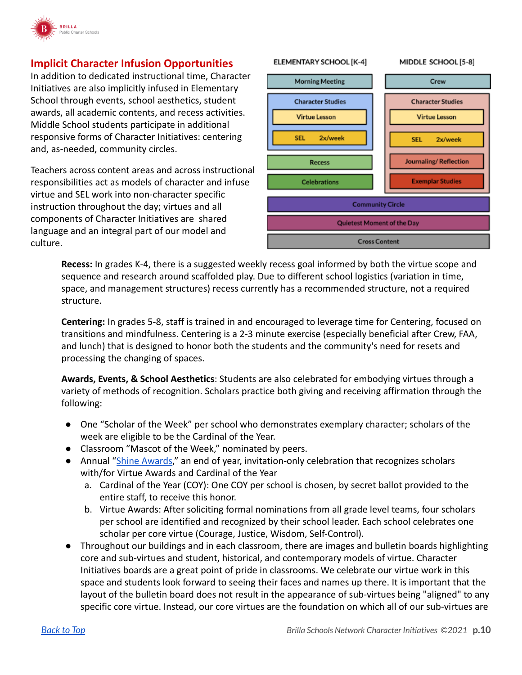

#### **Implicit Character Infusion Opportunities**

In addition to dedicated instructional time, Character Initiatives are also implicitly infused in Elementary School through events, school aesthetics, student awards, all academic contents, and recess activities. Middle School students participate in additional responsive forms of Character Initiatives: centering and, as-needed, community circles.

Teachers across content areas and across instructional responsibilities act as models of character and infuse virtue and SEL work into non-character specific instruction throughout the day; virtues and all components of Character Initiatives are shared language and an integral part of our model and culture.

#### **ELEMENTARY SCHOOL [K-4]** MIDDLE SCHOOL [5-8] **Morning Meeting** Crew **Character Studies Character Studies Virtue Lesson Virtue Lesson SEL** 2x/week 2x/week **SEL Recess** Journaling/Reflection **Celebrations Exemplar Studies Community Circle Quietest Moment of the Day Cross Content**

**Recess:** In grades K-4, there is a suggested weekly recess goal informed by both the virtue scope and sequence and research around scaffolded play. Due to different school logistics (variation in time, space, and management structures) recess currently has a recommended structure, not a required structure.

**Centering:** In grades 5-8, staff is trained in and encouraged to leverage time for Centering, focused on transitions and mindfulness. Centering is a 2-3 minute exercise (especially beneficial after Crew, FAA, and lunch) that is designed to honor both the students and the community's need for resets and processing the changing of spaces.

**Awards, Events, & School Aesthetics**: Students are also celebrated for embodying virtues through a variety of methods of recognition. Scholars practice both giving and receiving affirmation through the following:

- One "Scholar of the Week" per school who demonstrates exemplary character; scholars of the week are eligible to be the Cardinal of the Year.
- Classroom "Mascot of the Week," nominated by peers.
- Annual "[Shine Awards](https://drive.google.com/file/d/1Eks_UndiL-ym8vX-FlJTkvX_W6Xtqxfs/view?usp=sharing)," an end of year, invitation-only celebration that recognizes scholars with/for Virtue Awards and Cardinal of the Year
	- a. Cardinal of the Year (COY): One COY per school is chosen, by secret ballot provided to the entire staff, to receive this honor.
	- b. Virtue Awards: After soliciting formal nominations from all grade level teams, four scholars per school are identified and recognized by their school leader. Each school celebrates one scholar per core virtue (Courage, Justice, Wisdom, Self-Control).
- Throughout our buildings and in each classroom, there are images and bulletin boards highlighting core and sub-virtues and student, historical, and contemporary models of virtue. Character Initiatives boards are a great point of pride in classrooms. We celebrate our virtue work in this space and students look forward to seeing their faces and names up there. It is important that the layout of the bulletin board does not result in the appearance of sub-virtues being "aligned" to any specific core virtue. Instead, our core virtues are the foundation on which all of our sub-virtues are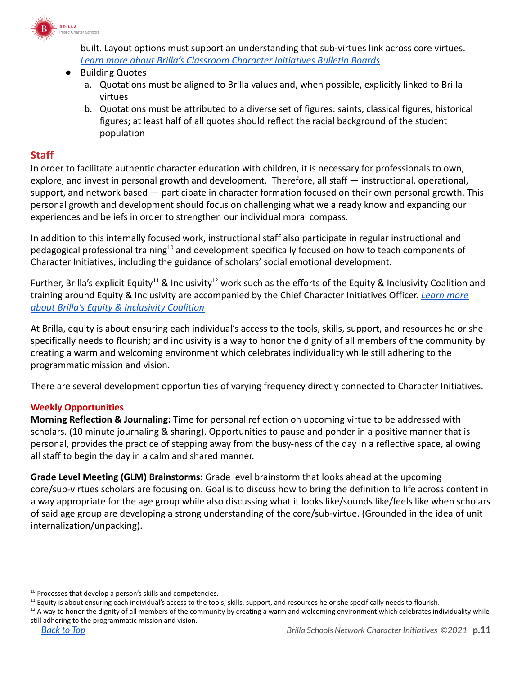

built. Layout options must support an understanding that sub-virtues link across core virtues. *[Learn more about Brilla's Classroom Character Initiatives Bulletin Boards](https://drive.google.com/file/d/18WVUT43lqyckPvBX4ufR3DT6o_icUEGz/view?usp=sharing)*

#### **Building Quotes**

- a. Quotations must be aligned to Brilla values and, when possible, explicitly linked to Brilla virtues
- b. Quotations must be attributed to a diverse set of figures: saints, classical figures, historical figures; at least half of all quotes should reflect the racial background of the student population

#### **Staff**

In order to facilitate authentic character education with children, it is necessary for professionals to own, explore, and invest in personal growth and development. Therefore, all staff — instructional, operational, support, and network based — participate in character formation focused on their own personal growth. This personal growth and development should focus on challenging what we already know and expanding our experiences and beliefs in order to strengthen our individual moral compass.

In addition to this internally focused work, instructional staff also participate in regular instructional and pedagogical professional training<sup>10</sup> and development specifically focused on how to teach components of Character Initiatives, including the guidance of scholars' social emotional development.

Further, Brilla's explicit Equity<sup>11</sup> & Inclusivity<sup>12</sup> work such as the efforts of the Equity & Inclusivity Coalition and training around Equity & Inclusivity are accompanied by the Chief Character Initiatives Officer. *[Learn](https://drive.google.com/file/d/1dCGzEZLx6MVpilqIS5cEPFtYu3PCkz5n/view?usp=sharing) more [about Brilla's Equity & Inclusivity Coalition](https://drive.google.com/file/d/1dCGzEZLx6MVpilqIS5cEPFtYu3PCkz5n/view?usp=sharing)*

At Brilla, equity is about ensuring each individual's access to the tools, skills, support, and resources he or she specifically needs to flourish; and inclusivity is a way to honor the dignity of all members of the community by creating a warm and welcoming environment which celebrates individuality while still adhering to the programmatic mission and vision.

There are several development opportunities of varying frequency directly connected to Character Initiatives.

#### **Weekly Opportunities**

**Morning Reflection & Journaling:** Time for personal reflection on upcoming virtue to be addressed with scholars. (10 minute journaling & sharing). Opportunities to pause and ponder in a positive manner that is personal, provides the practice of stepping away from the busy-ness of the day in a reflective space, allowing all staff to begin the day in a calm and shared manner.

**Grade Level Meeting (GLM) Brainstorms:** Grade level brainstorm that looks ahead at the upcoming core/sub-virtues scholars are focusing on. Goal is to discuss how to bring the definition to life across content in a way appropriate for the age group while also discussing what it looks like/sounds like/feels like when scholars of said age group are developing a strong understanding of the core/sub-virtue. (Grounded in the idea of unit internalization/unpacking).

<sup>&</sup>lt;sup>10</sup> Processes that develop a person's skills and competencies.

<sup>&</sup>lt;sup>11</sup> Equity is about ensuring each individual's access to the tools, skills, support, and resources he or she specifically needs to flourish.

 $12$  A way to honor the dignity of all members of the community by creating a warm and welcoming environment which celebrates individuality while still adhering to the programmatic mission and vision.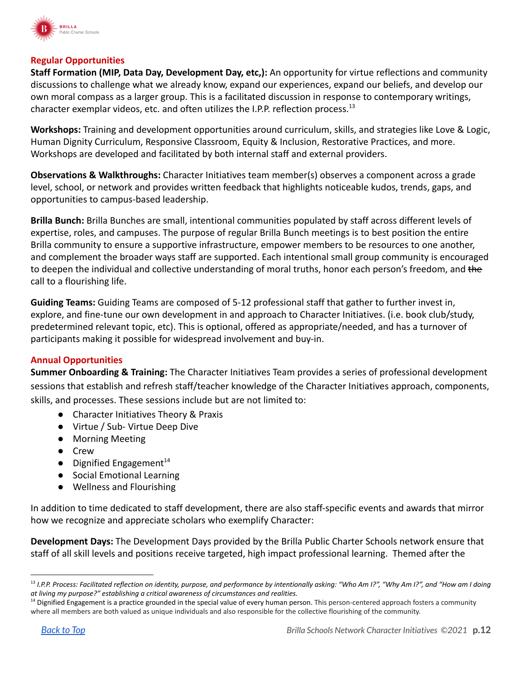

#### **Regular Opportunities**

**Staff Formation (MIP, Data Day, Development Day, etc,):** An opportunity for virtue reflections and community discussions to challenge what we already know, expand our experiences, expand our beliefs, and develop our own moral compass as a larger group. This is a facilitated discussion in response to contemporary writings, character exemplar videos, etc. and often utilizes the I.P.P. reflection process.<sup>13</sup>

**Workshops:** Training and development opportunities around curriculum, skills, and strategies like Love & Logic, Human Dignity Curriculum, Responsive Classroom, Equity & Inclusion, Restorative Practices, and more. Workshops are developed and facilitated by both internal staff and external providers.

**Observations & Walkthroughs:** Character Initiatives team member(s) observes a component across a grade level, school, or network and provides written feedback that highlights noticeable kudos, trends, gaps, and opportunities to campus-based leadership.

**Brilla Bunch:** Brilla Bunches are small, intentional communities populated by staff across different levels of expertise, roles, and campuses. The purpose of regular Brilla Bunch meetings is to best position the entire Brilla community to ensure a supportive infrastructure, empower members to be resources to one another, and complement the broader ways staff are supported. Each intentional small group community is encouraged to deepen the individual and collective understanding of moral truths, honor each person's freedom, and the call to a flourishing life.

**Guiding Teams:** Guiding Teams are composed of 5-12 professional staff that gather to further invest in, explore, and fine-tune our own development in and approach to Character Initiatives. (i.e. book club/study, predetermined relevant topic, etc). This is optional, offered as appropriate/needed, and has a turnover of participants making it possible for widespread involvement and buy-in.

#### **Annual Opportunities**

**Summer Onboarding & Training:** The Character Initiatives Team provides a series of professional development sessions that establish and refresh staff/teacher knowledge of the Character Initiatives approach, components, skills, and processes. These sessions include but are not limited to:

- Character Initiatives Theory & Praxis
- Virtue / Sub- Virtue Deep Dive
- Morning Meeting
- Crew
- Dignified Engagement<sup>14</sup>
- Social Emotional Learning
- Wellness and Flourishing

In addition to time dedicated to staff development, there are also staff-specific events and awards that mirror how we recognize and appreciate scholars who exemplify Character:

**Development Days:** The Development Days provided by the Brilla Public Charter Schools network ensure that staff of all skill levels and positions receive targeted, high impact professional learning. Themed after the

<sup>13</sup> *I.P.P. Process: Facilitated reflection on identity, purpose, and performance by intentionally asking: "Who Am I?", "Why Am I?", and "How am I doing at living my purpose?" establishing a critical awareness of circumstances and realities.*

<sup>&</sup>lt;sup>14</sup> Dignified Engagement is a practice grounded in the special value of every human person. This person-centered approach fosters a community where all members are both valued as unique individuals and also responsible for the collective flourishing of the community.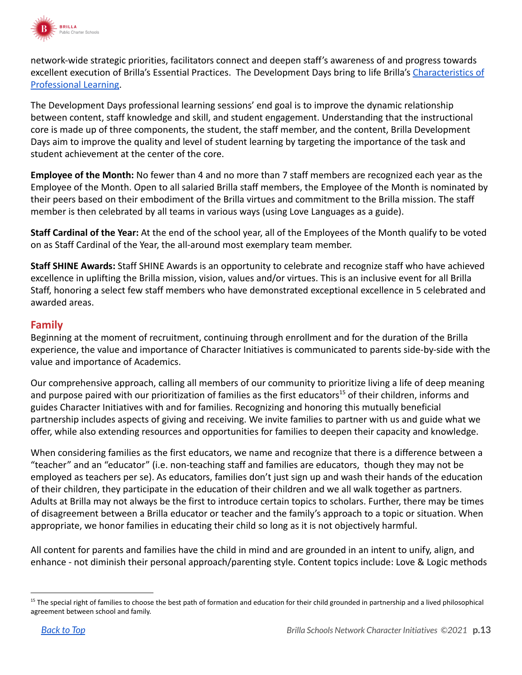

network-wide strategic priorities, facilitators connect and deepen staff's awareness of and progress towards excellent execution of Brilla's Essential Practices. The Development Days bring to life Brilla's [Characteristics](https://docs.google.com/document/d/10wfg10_O4K8e5gqlIaB1UgdVmysPKEZ4_VTGNy7UYjY/edit) of [Professional Learning.](https://docs.google.com/document/d/10wfg10_O4K8e5gqlIaB1UgdVmysPKEZ4_VTGNy7UYjY/edit)

The Development Days professional learning sessions' end goal is to improve the dynamic relationship between content, staff knowledge and skill, and student engagement. Understanding that the instructional core is made up of three components, the student, the staff member, and the content, Brilla Development Days aim to improve the quality and level of student learning by targeting the importance of the task and student achievement at the center of the core.

**Employee of the Month:** No fewer than 4 and no more than 7 staff members are recognized each year as the Employee of the Month. Open to all salaried Brilla staff members, the Employee of the Month is nominated by their peers based on their embodiment of the Brilla virtues and commitment to the Brilla mission. The staff member is then celebrated by all teams in various ways (using Love Languages as a guide).

**Staff Cardinal of the Year:** At the end of the school year, all of the Employees of the Month qualify to be voted on as Staff Cardinal of the Year, the all-around most exemplary team member.

**Staff SHINE Awards:** Staff SHINE Awards is an opportunity to celebrate and recognize staff who have achieved excellence in uplifting the Brilla mission, vision, values and/or virtues. This is an inclusive event for all Brilla Staff, honoring a select few staff members who have demonstrated exceptional excellence in 5 celebrated and awarded areas.

#### **Family**

Beginning at the moment of recruitment, continuing through enrollment and for the duration of the Brilla experience, the value and importance of Character Initiatives is communicated to parents side-by-side with the value and importance of Academics.

Our comprehensive approach, calling all members of our community to prioritize living a life of deep meaning and purpose paired with our prioritization of families as the first educators<sup>15</sup> of their children, informs and guides Character Initiatives with and for families. Recognizing and honoring this mutually beneficial partnership includes aspects of giving and receiving. We invite families to partner with us and guide what we offer, while also extending resources and opportunities for families to deepen their capacity and knowledge.

When considering families as the first educators, we name and recognize that there is a difference between a "teacher" and an "educator" (i.e. non-teaching staff and families are educators, though they may not be employed as teachers per se). As educators, families don't just sign up and wash their hands of the education of their children, they participate in the education of their children and we all walk together as partners. Adults at Brilla may not always be the first to introduce certain topics to scholars. Further, there may be times of disagreement between a Brilla educator or teacher and the family's approach to a topic or situation. When appropriate, we honor families in educating their child so long as it is not objectively harmful.

All content for parents and families have the child in mind and are grounded in an intent to unify, align, and enhance - not diminish their personal approach/parenting style. Content topics include: Love & Logic methods

<sup>&</sup>lt;sup>15</sup> The special right of families to choose the best path of formation and education for their child grounded in partnership and a lived philosophical agreement between school and family.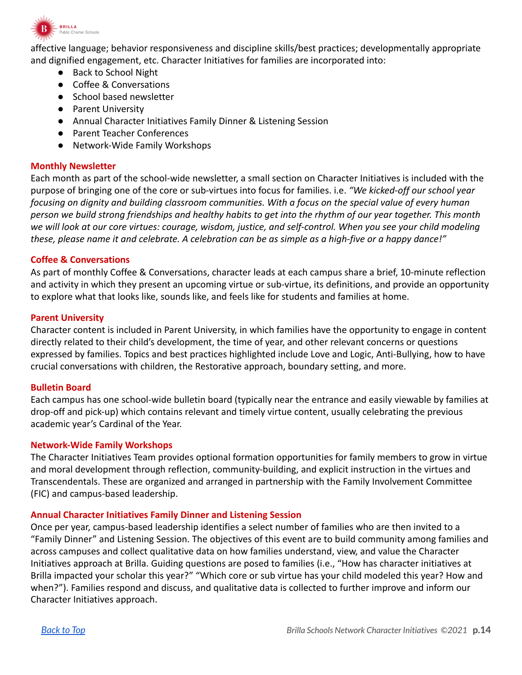

affective language; behavior responsiveness and discipline skills/best practices; developmentally appropriate and dignified engagement, etc. Character Initiatives for families are incorporated into:

- Back to School Night
- Coffee & Conversations
- School based newsletter
- Parent University
- Annual Character Initiatives Family Dinner & Listening Session
- Parent Teacher Conferences
- Network-Wide Family Workshops

#### **Monthly Newsletter**

Each month as part of the school-wide newsletter, a small section on Character Initiatives is included with the purpose of bringing one of the core or sub-virtues into focus for families. i.e. *"We kicked-off our school year focusing on dignity and building classroom communities. With a focus on the special value of every human person we build strong friendships and healthy habits to get into the rhythm of our year together. This month we will look at our core virtues: courage, wisdom, justice, and self-control. When you see your child modeling these, please name it and celebrate. A celebration can be as simple as a high-five or a happy dance!"*

#### **Coffee & Conversations**

As part of monthly Coffee & Conversations, character leads at each campus share a brief, 10-minute reflection and activity in which they present an upcoming virtue or sub-virtue, its definitions, and provide an opportunity to explore what that looks like, sounds like, and feels like for students and families at home.

#### **Parent University**

Character content is included in Parent University, in which families have the opportunity to engage in content directly related to their child's development, the time of year, and other relevant concerns or questions expressed by families. Topics and best practices highlighted include Love and Logic, Anti-Bullying, how to have crucial conversations with children, the Restorative approach, boundary setting, and more.

#### **Bulletin Board**

Each campus has one school-wide bulletin board (typically near the entrance and easily viewable by families at drop-off and pick-up) which contains relevant and timely virtue content, usually celebrating the previous academic year's Cardinal of the Year.

#### **Network-Wide Family Workshops**

The Character Initiatives Team provides optional formation opportunities for family members to grow in virtue and moral development through reflection, community-building, and explicit instruction in the virtues and Transcendentals. These are organized and arranged in partnership with the Family Involvement Committee (FIC) and campus-based leadership.

#### **Annual Character Initiatives Family Dinner and Listening Session**

Once per year, campus-based leadership identifies a select number of families who are then invited to a "Family Dinner" and Listening Session. The objectives of this event are to build community among families and across campuses and collect qualitative data on how families understand, view, and value the Character Initiatives approach at Brilla. Guiding questions are posed to families (i.e., "How has character initiatives at Brilla impacted your scholar this year?" "Which core or sub virtue has your child modeled this year? How and when?"). Families respond and discuss, and qualitative data is collected to further improve and inform our Character Initiatives approach.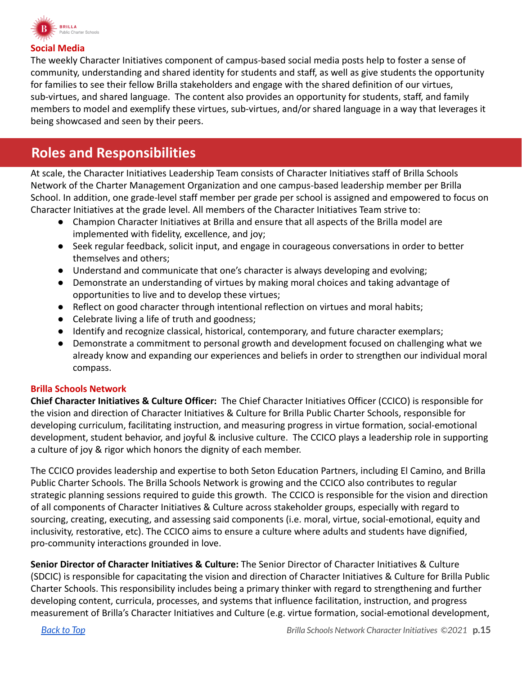

#### **Social Media**

The weekly Character Initiatives component of campus-based social media posts help to foster a sense of community, understanding and shared identity for students and staff, as well as give students the opportunity for families to see their fellow Brilla stakeholders and engage with the shared definition of our virtues, sub-virtues, and shared language. The content also provides an opportunity for students, staff, and family members to model and exemplify these virtues, sub-virtues, and/or shared language in a way that leverages it being showcased and seen by their peers.

### <span id="page-14-0"></span>**Roles and Responsibilities**

At scale, the Character Initiatives Leadership Team consists of Character Initiatives staff of Brilla Schools Network of the Charter Management Organization and one campus-based leadership member per Brilla School. In addition, one grade-level staff member per grade per school is assigned and empowered to focus on Character Initiatives at the grade level. All members of the Character Initiatives Team strive to:

- Champion Character Initiatives at Brilla and ensure that all aspects of the Brilla model are implemented with fidelity, excellence, and joy;
- Seek regular feedback, solicit input, and engage in courageous conversations in order to better themselves and others;
- Understand and communicate that one's character is always developing and evolving;
- Demonstrate an understanding of virtues by making moral choices and taking advantage of opportunities to live and to develop these virtues;
- Reflect on good character through intentional reflection on virtues and moral habits;
- Celebrate living a life of truth and goodness;
- Identify and recognize classical, historical, contemporary, and future character exemplars;
- Demonstrate a commitment to personal growth and development focused on challenging what we already know and expanding our experiences and beliefs in order to strengthen our individual moral compass.

#### **Brilla Schools Network**

**Chief Character Initiatives & Culture Officer:** The Chief Character Initiatives Officer (CCICO) is responsible for the vision and direction of Character Initiatives & Culture for Brilla Public Charter Schools, responsible for developing curriculum, facilitating instruction, and measuring progress in virtue formation, social-emotional development, student behavior, and joyful & inclusive culture. The CCICO plays a leadership role in supporting a culture of joy & rigor which honors the dignity of each member.

The CCICO provides leadership and expertise to both Seton Education Partners, including El Camino, and Brilla Public Charter Schools. The Brilla Schools Network is growing and the CCICO also contributes to regular strategic planning sessions required to guide this growth. The CCICO is responsible for the vision and direction of all components of Character Initiatives & Culture across stakeholder groups, especially with regard to sourcing, creating, executing, and assessing said components (i.e. moral, virtue, social-emotional, equity and inclusivity, restorative, etc). The CCICO aims to ensure a culture where adults and students have dignified, pro-community interactions grounded in love.

**Senior Director of Character Initiatives & Culture:** The Senior Director of Character Initiatives & Culture (SDCIC) is responsible for capacitating the vision and direction of Character Initiatives & Culture for Brilla Public Charter Schools. This responsibility includes being a primary thinker with regard to strengthening and further developing content, curricula, processes, and systems that influence facilitation, instruction, and progress measurement of Brilla's Character Initiatives and Culture (e.g. virtue formation, social-emotional development,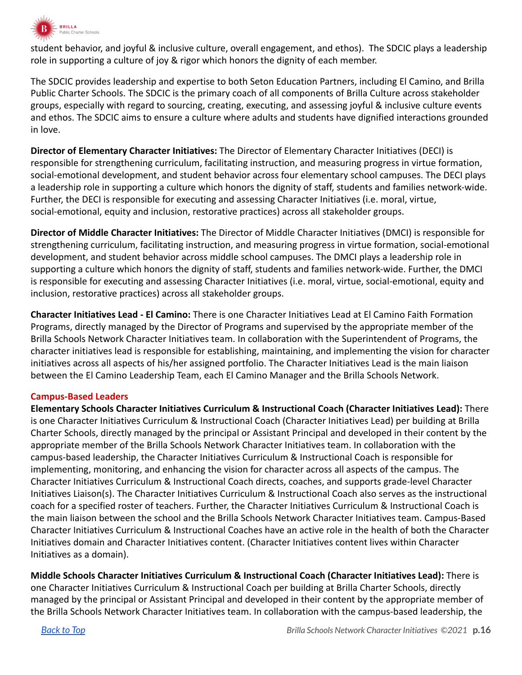

student behavior, and joyful & inclusive culture, overall engagement, and ethos). The SDCIC plays a leadership role in supporting a culture of joy & rigor which honors the dignity of each member.

The SDCIC provides leadership and expertise to both Seton Education Partners, including El Camino, and Brilla Public Charter Schools. The SDCIC is the primary coach of all components of Brilla Culture across stakeholder groups, especially with regard to sourcing, creating, executing, and assessing joyful & inclusive culture events and ethos. The SDCIC aims to ensure a culture where adults and students have dignified interactions grounded in love.

**Director of Elementary Character Initiatives:** The Director of Elementary Character Initiatives (DECI) is responsible for strengthening curriculum, facilitating instruction, and measuring progress in virtue formation, social-emotional development, and student behavior across four elementary school campuses. The DECI plays a leadership role in supporting a culture which honors the dignity of staff, students and families network-wide. Further, the DECI is responsible for executing and assessing Character Initiatives (i.e. moral, virtue, social-emotional, equity and inclusion, restorative practices) across all stakeholder groups.

**Director of Middle Character Initiatives:** The Director of Middle Character Initiatives (DMCI) is responsible for strengthening curriculum, facilitating instruction, and measuring progress in virtue formation, social-emotional development, and student behavior across middle school campuses. The DMCI plays a leadership role in supporting a culture which honors the dignity of staff, students and families network-wide. Further, the DMCI is responsible for executing and assessing Character Initiatives (i.e. moral, virtue, social-emotional, equity and inclusion, restorative practices) across all stakeholder groups.

**Character Initiatives Lead - El Camino:** There is one Character Initiatives Lead at El Camino Faith Formation Programs, directly managed by the Director of Programs and supervised by the appropriate member of the Brilla Schools Network Character Initiatives team. In collaboration with the Superintendent of Programs, the character initiatives lead is responsible for establishing, maintaining, and implementing the vision for character initiatives across all aspects of his/her assigned portfolio. The Character Initiatives Lead is the main liaison between the El Camino Leadership Team, each El Camino Manager and the Brilla Schools Network.

#### **Campus-Based Leaders**

**Elementary Schools Character Initiatives Curriculum & Instructional Coach (Character Initiatives Lead):** There is one Character Initiatives Curriculum & Instructional Coach (Character Initiatives Lead) per building at Brilla Charter Schools, directly managed by the principal or Assistant Principal and developed in their content by the appropriate member of the Brilla Schools Network Character Initiatives team. In collaboration with the campus-based leadership, the Character Initiatives Curriculum & Instructional Coach is responsible for implementing, monitoring, and enhancing the vision for character across all aspects of the campus. The Character Initiatives Curriculum & Instructional Coach directs, coaches, and supports grade-level Character Initiatives Liaison(s). The Character Initiatives Curriculum & Instructional Coach also serves as the instructional coach for a specified roster of teachers. Further, the Character Initiatives Curriculum & Instructional Coach is the main liaison between the school and the Brilla Schools Network Character Initiatives team. Campus-Based Character Initiatives Curriculum & Instructional Coaches have an active role in the health of both the Character Initiatives domain and Character Initiatives content. (Character Initiatives content lives within Character Initiatives as a domain).

**Middle Schools Character Initiatives Curriculum & Instructional Coach (Character Initiatives Lead):** There is one Character Initiatives Curriculum & Instructional Coach per building at Brilla Charter Schools, directly managed by the principal or Assistant Principal and developed in their content by the appropriate member of the Brilla Schools Network Character Initiatives team. In collaboration with the campus-based leadership, the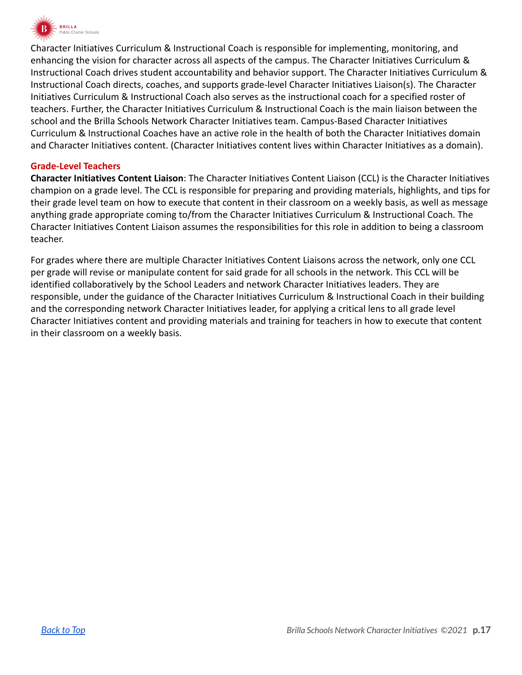

Character Initiatives Curriculum & Instructional Coach is responsible for implementing, monitoring, and enhancing the vision for character across all aspects of the campus. The Character Initiatives Curriculum & Instructional Coach drives student accountability and behavior support. The Character Initiatives Curriculum & Instructional Coach directs, coaches, and supports grade-level Character Initiatives Liaison(s). The Character Initiatives Curriculum & Instructional Coach also serves as the instructional coach for a specified roster of teachers. Further, the Character Initiatives Curriculum & Instructional Coach is the main liaison between the school and the Brilla Schools Network Character Initiatives team. Campus-Based Character Initiatives Curriculum & Instructional Coaches have an active role in the health of both the Character Initiatives domain and Character Initiatives content. (Character Initiatives content lives within Character Initiatives as a domain).

#### **Grade-Level Teachers**

**Character Initiatives Content Liaison**: The Character Initiatives Content Liaison (CCL) is the Character Initiatives champion on a grade level. The CCL is responsible for preparing and providing materials, highlights, and tips for their grade level team on how to execute that content in their classroom on a weekly basis, as well as message anything grade appropriate coming to/from the Character Initiatives Curriculum & Instructional Coach. The Character Initiatives Content Liaison assumes the responsibilities for this role in addition to being a classroom teacher.

For grades where there are multiple Character Initiatives Content Liaisons across the network, only one CCL per grade will revise or manipulate content for said grade for all schools in the network. This CCL will be identified collaboratively by the School Leaders and network Character Initiatives leaders. They are responsible, under the guidance of the Character Initiatives Curriculum & Instructional Coach in their building and the corresponding network Character Initiatives leader, for applying a critical lens to all grade level Character Initiatives content and providing materials and training for teachers in how to execute that content in their classroom on a weekly basis.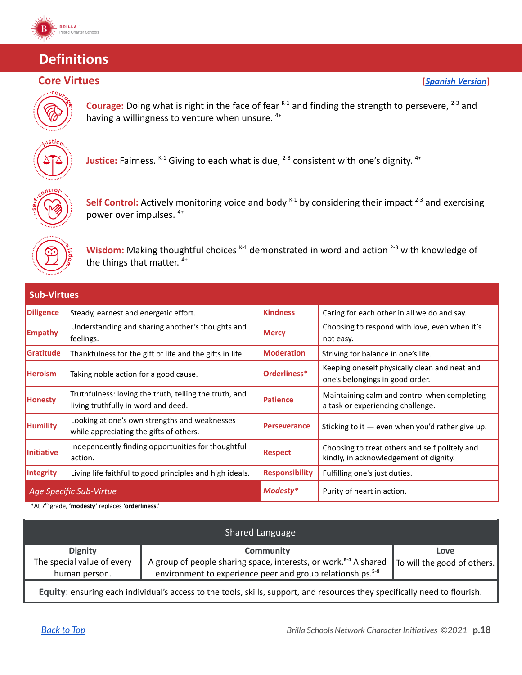

## <span id="page-17-0"></span>**Definitions**



**Courage:** Doing what is right in the face of fear <sup>K-1</sup> and finding the strength to persevere, <sup>2-3</sup> and having a willingness to venture when unsure. <sup>4+</sup>



Justice: Fairness. <sup>K-1</sup> Giving to each what is due, <sup>2-3</sup> consistent with one's dignity. <sup>4+</sup>



**Self Control:** Actively monitoring voice and body  $K+1$  by considering their impact  $2-3$  and exercising power over impulses. 4+



Wisdom: Making thoughtful choices <sup>K-1</sup> demonstrated in word and action <sup>2-3</sup> with knowledge of the things that matter. <sup>4+</sup>

| <b>Sub-Virtues</b>      |                                                                                               |                       |                                                                                          |  |
|-------------------------|-----------------------------------------------------------------------------------------------|-----------------------|------------------------------------------------------------------------------------------|--|
| <b>Diligence</b>        | Steady, earnest and energetic effort.                                                         | <b>Kindness</b>       | Caring for each other in all we do and say.                                              |  |
| <b>Empathy</b>          | Understanding and sharing another's thoughts and<br>feelings.                                 | <b>Mercy</b>          | Choosing to respond with love, even when it's<br>not easy.                               |  |
| <b>Gratitude</b>        | Thankfulness for the gift of life and the gifts in life.                                      | <b>Moderation</b>     | Striving for balance in one's life.                                                      |  |
| <b>Heroism</b>          | Taking noble action for a good cause.                                                         | Orderliness*          | Keeping oneself physically clean and neat and<br>one's belongings in good order.         |  |
| <b>Honesty</b>          | Truthfulness: loving the truth, telling the truth, and<br>living truthfully in word and deed. | <b>Patience</b>       | Maintaining calm and control when completing<br>a task or experiencing challenge.        |  |
| <b>Humility</b>         | Looking at one's own strengths and weaknesses<br>while appreciating the gifts of others.      | <b>Perseverance</b>   | Sticking to it $-$ even when you'd rather give up.                                       |  |
| <b>Initiative</b>       | Independently finding opportunities for thoughtful<br>action.                                 | <b>Respect</b>        | Choosing to treat others and self politely and<br>kindly, in acknowledgement of dignity. |  |
| Integrity               | Living life faithful to good principles and high ideals.                                      | <b>Responsibility</b> | Fulfilling one's just duties.                                                            |  |
| Age Specific Sub-Virtue |                                                                                               | Modesty*              | Purity of heart in action.                                                               |  |

\*At 7 th grade, **'modesty'** replaces **'orderliness.'**

|                                                                                                                            | Shared Language                                                              |                             |
|----------------------------------------------------------------------------------------------------------------------------|------------------------------------------------------------------------------|-----------------------------|
| <b>Dignity</b>                                                                                                             | <b>Community</b>                                                             | Love                        |
| The special value of every                                                                                                 | A group of people sharing space, interests, or work. <sup>K-4</sup> A shared | To will the good of others. |
| human person.                                                                                                              | environment to experience peer and group relationships. <sup>5-8</sup>       |                             |
| Equity: ensuring each individual's access to the tools, skills, support, and resources they specifically need to flourish. |                                                                              |                             |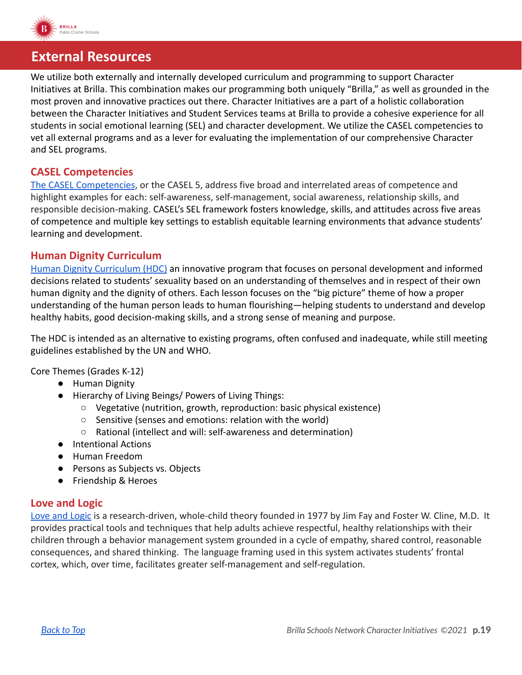

### <span id="page-18-0"></span>**External Resources**

We utilize both externally and internally developed curriculum and programming to support Character Initiatives at Brilla. This combination makes our programming both uniquely "Brilla," as well as grounded in the most proven and innovative practices out there. Character Initiatives are a part of a holistic collaboration between the Character Initiatives and Student Services teams at Brilla to provide a cohesive experience for all students in social emotional learning (SEL) and character development. We utilize the CASEL competencies to vet all external programs and as a lever for evaluating the implementation of our comprehensive Character and SEL programs.

#### **CASEL Competencies**

[The CASEL Competencies](https://casel.org/sel-framework/), or the CASEL 5, address five broad and interrelated areas of competence and highlight examples for each: self-awareness, self-management, social awareness, relationship skills, and responsible decision-making. CASEL's SEL framework fosters knowledge, skills, and attitudes across five areas of competence and multiple key settings to establish equitable learning environments that advance students' learning and development.

#### **Human Dignity Curriculum**

[Human Dignity Curriculum \(HDC\)](http://website) an innovative program that focuses on personal development and informed decisions related to students' sexuality based on an understanding of themselves and in respect of their own human dignity and the dignity of others. Each lesson focuses on the "big picture" theme of how a proper understanding of the human person leads to human flourishing—helping students to understand and develop healthy habits, good decision-making skills, and a strong sense of meaning and purpose.

The HDC is intended as an alternative to existing programs, often confused and inadequate, while still meeting guidelines established by the UN and WHO.

Core Themes (Grades K-12)

- Human Dignity
- Hierarchy of Living Beings/ Powers of Living Things:
	- Vegetative (nutrition, growth, reproduction: basic physical existence)
	- Sensitive (senses and emotions: relation with the world)
	- Rational (intellect and will: self-awareness and determination)
- Intentional Actions
- Human Freedom
- Persons as Subjects vs. Objects
- Friendship & Heroes

#### **Love and Logic**

[Love and Logic](https://www.loveandlogic.com/) is a research-driven, whole-child theory founded in 1977 by Jim Fay and Foster W. Cline, M.D. It provides practical tools and techniques that help adults achieve respectful, healthy relationships with their children through a behavior management system grounded in a cycle of empathy, shared control, reasonable consequences, and shared thinking. The language framing used in this system activates students' frontal cortex, which, over time, facilitates greater self-management and self-regulation.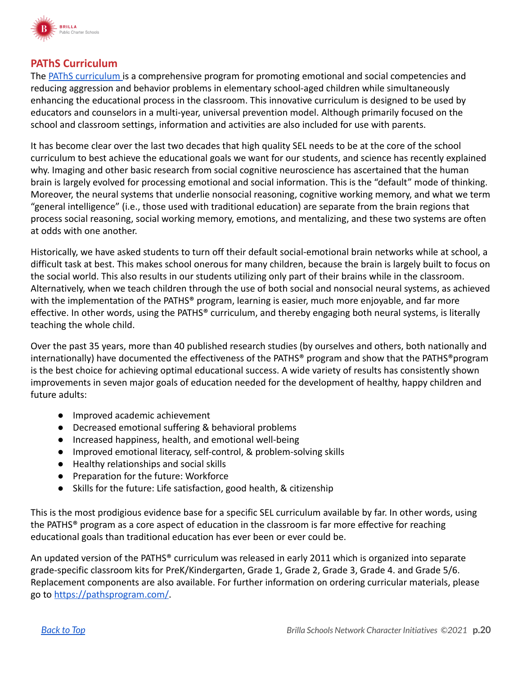

#### **PAThS Curriculum**

The [PAThS curriculum](http://www.pathstraining.com/main/curriculum/) is a comprehensive program for promoting emotional and social competencies and reducing aggression and behavior problems in elementary school-aged children while simultaneously enhancing the educational process in the classroom. This innovative curriculum is designed to be used by educators and counselors in a multi-year, universal prevention model. Although primarily focused on the school and classroom settings, information and activities are also included for use with parents.

It has become clear over the last two decades that high quality SEL needs to be at the core of the school curriculum to best achieve the educational goals we want for our students, and science has recently explained why. Imaging and other basic research from social cognitive neuroscience has ascertained that the human brain is largely evolved for processing emotional and social information. This is the "default" mode of thinking. Moreover, the neural systems that underlie nonsocial reasoning, cognitive working memory, and what we term "general intelligence" (i.e., those used with traditional education) are separate from the brain regions that process social reasoning, social working memory, emotions, and mentalizing, and these two systems are often at odds with one another.

Historically, we have asked students to turn off their default social-emotional brain networks while at school, a difficult task at best. This makes school onerous for many children, because the brain is largely built to focus on the social world. This also results in our students utilizing only part of their brains while in the classroom. Alternatively, when we teach children through the use of both social and nonsocial neural systems, as achieved with the implementation of the PATHS® program, learning is easier, much more enjoyable, and far more effective. In other words, using the PATHS® curriculum, and thereby engaging both neural systems, is literally teaching the whole child.

Over the past 35 years, more than 40 published research studies (by ourselves and others, both nationally and internationally) have documented the effectiveness of the PATHS® program and show that the PATHS®program is the best choice for achieving optimal educational success. A wide variety of results has consistently shown improvements in seven major goals of education needed for the development of healthy, happy children and future adults:

- Improved academic achievement
- Decreased emotional suffering & behavioral problems
- Increased happiness, health, and emotional well-being
- Improved emotional literacy, self-control, & problem-solving skills
- Healthy relationships and social skills
- Preparation for the future: Workforce
- Skills for the future: Life satisfaction, good health, & citizenship

This is the most prodigious evidence base for a specific SEL curriculum available by far. In other words, using the PATHS® program as a core aspect of education in the classroom is far more effective for reaching educational goals than traditional education has ever been or ever could be.

An updated version of the PATHS® curriculum was released in early 2011 which is organized into separate grade-specific classroom kits for PreK/Kindergarten, Grade 1, Grade 2, Grade 3, Grade 4. and Grade 5/6. Replacement components are also available. For further information on ordering curricular materials, please go to <https://pathsprogram.com/>.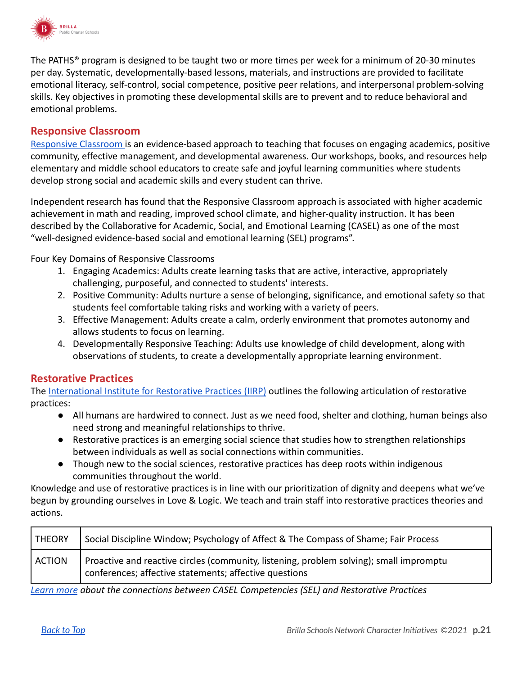

The PATHS® program is designed to be taught two or more times per week for a minimum of 20-30 minutes per day. Systematic, developmentally-based lessons, materials, and instructions are provided to facilitate emotional literacy, self-control, social competence, positive peer relations, and interpersonal problem-solving skills. Key objectives in promoting these developmental skills are to prevent and to reduce behavioral and emotional problems.

#### **Responsive Classroom**

[Responsive Classroom](https://www.responsiveclassroom.org/about/) is an evidence-based approach to teaching that focuses on engaging academics, positive community, effective management, and developmental awareness. Our workshops, books, and resources help elementary and middle school educators to create safe and joyful learning communities where students develop strong social and academic skills and every student can thrive.

Independent research has found that the Responsive Classroom approach is associated with higher academic achievement in math and reading, improved school climate, and higher-quality instruction. It has been described by the Collaborative for Academic, Social, and Emotional Learning (CASEL) as one of the most "well-designed evidence-based social and emotional learning (SEL) programs".

Four Key Domains of Responsive Classrooms

- 1. Engaging Academics: Adults create learning tasks that are active, interactive, appropriately challenging, purposeful, and connected to students' interests.
- 2. Positive Community: Adults nurture a sense of belonging, significance, and emotional safety so that students feel comfortable taking risks and working with a variety of peers.
- 3. Effective Management: Adults create a calm, orderly environment that promotes autonomy and allows students to focus on learning.
- 4. Developmentally Responsive Teaching: Adults use knowledge of child development, along with observations of students, to create a developmentally appropriate learning environment.

#### **Restorative Practices**

The [International Institute for Restorative Practices](https://www.iirp.edu/restorative-practices/what-is-restorative-practices) (IIRP) outlines the following articulation of restorative practices:

- All humans are hardwired to connect. Just as we need food, shelter and clothing, human beings also need strong and meaningful relationships to thrive.
- Restorative practices is an emerging social science that studies how to strengthen relationships between individuals as well as social connections within communities.
- Though new to the social sciences, restorative practices has deep roots within indigenous communities throughout the world.

Knowledge and use of restorative practices is in line with our prioritization of dignity and deepens what we've begun by grounding ourselves in Love & Logic. We teach and train staff into restorative practices theories and actions.

| <b>THEORY</b> | Social Discipline Window; Psychology of Affect & The Compass of Shame; Fair Process                                                               |
|---------------|---------------------------------------------------------------------------------------------------------------------------------------------------|
| <b>ACTION</b> | Proactive and reactive circles (community, listening, problem solving); small impromptu<br>conferences; affective statements; affective questions |

*[Learn more](https://schoolguide.casel.org/uploads/sites/2/2020/12/2020.12.11_Aligning-SEL-and-RP_Final.pdf) about the connections between CASEL Competencies (SEL) and Restorative Practices*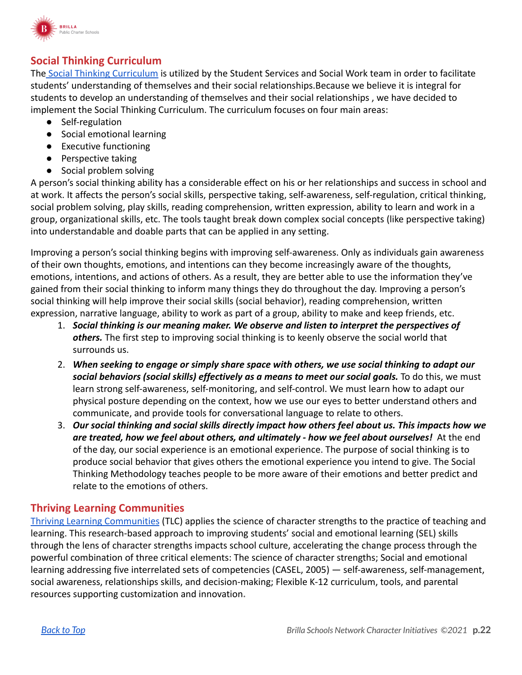

### **Social Thinking Curriculum**

The [Social Thinking Curriculum](https://www.socialthinking.com/social-thinking-methodology) is utilized by the Student Services and Social Work team in order to facilitate students' understanding of themselves and their social relationships.Because we believe it is integral for students to develop an understanding of themselves and their social relationships , we have decided to implement the Social Thinking Curriculum. The curriculum focuses on four main areas:

- Self-regulation
- Social emotional learning
- Executive functioning
- Perspective taking
- Social problem solving

A person's social thinking ability has a considerable effect on his or her relationships and success in school and at work. It affects the person's social skills, perspective taking, self-awareness, self-regulation, critical thinking, social problem solving, play skills, reading comprehension, written expression, ability to learn and work in a group, organizational skills, etc. The tools taught break down complex social concepts (like perspective taking) into understandable and doable parts that can be applied in any setting.

Improving a person's social thinking begins with improving self-awareness. Only as individuals gain awareness of their own thoughts, emotions, and intentions can they become increasingly aware of the thoughts, emotions, intentions, and actions of others. As a result, they are better able to use the information they've gained from their social thinking to inform many things they do throughout the day. Improving a person's social thinking will help improve their social skills (social behavior), reading comprehension, written expression, narrative language, ability to work as part of a group, ability to make and keep friends, etc.

- 1. *Social thinking is our meaning maker. We observe and listen to interpret the perspectives of others.* The first step to improving social thinking is to keenly observe the social world that surrounds us.
- 2. *When seeking to engage or simply share space with others, we use social thinking to adapt our social behaviors (social skills) effectively as a means to meet our social goals.* To do this, we must learn strong self-awareness, self-monitoring, and self-control. We must learn how to adapt our physical posture depending on the context, how we use our eyes to better understand others and communicate, and provide tools for conversational language to relate to others.
- 3. *Our social thinking and social skills directly impact how others feel about us. This impacts how we are treated, how we feel about others, and ultimately - how we feel about ourselves!* At the end of the day, our social experience is an emotional experience. The purpose of social thinking is to produce social behavior that gives others the emotional experience you intend to give. The Social Thinking Methodology teaches people to be more aware of their emotions and better predict and relate to the emotions of others.

#### **Thriving Learning Communities**

[Thriving Learning Communities](https://www.mayersonacademy.org/strong-schools/thriving-learning-communities/) (TLC) applies the science of character strengths to the practice of teaching and learning. This research-based approach to improving students' social and emotional learning (SEL) skills through the lens of character strengths impacts school culture, accelerating the change process through the powerful combination of three critical elements: The science of character strengths; Social and emotional learning addressing five interrelated sets of competencies (CASEL, 2005) — self-awareness, self-management, social awareness, relationships skills, and decision-making; Flexible K-12 curriculum, tools, and parental resources supporting customization and innovation**.**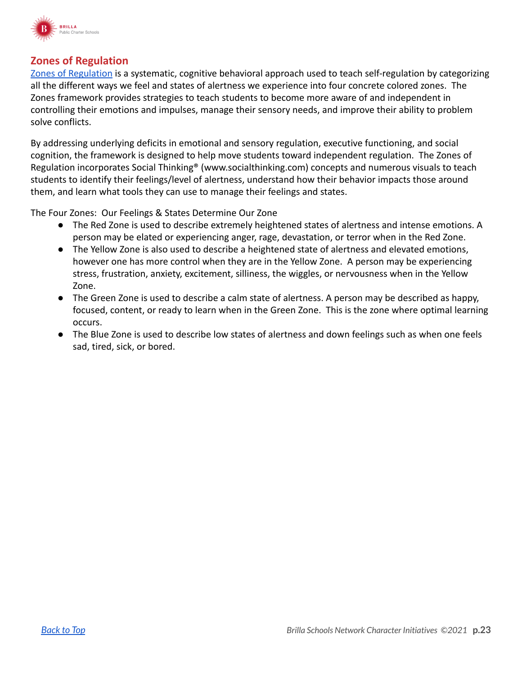

#### **Zones of Regulation**

[Zones of Regulation](http://zonesofregulation.com/index.html) is a systematic, cognitive behavioral approach used to teach self-regulation by categorizing all the different ways we feel and states of alertness we experience into four concrete colored zones. The Zones framework provides strategies to teach students to become more aware of and independent in controlling their emotions and impulses, manage their sensory needs, and improve their ability to problem solve conflicts.

By addressing underlying deficits in emotional and sensory regulation, executive functioning, and social cognition, the framework is designed to help move students toward independent regulation. The Zones of Regulation incorporates Social Thinking® (www.socialthinking.com) concepts and numerous visuals to teach students to identify their feelings/level of alertness, understand how their behavior impacts those around them, and learn what tools they can use to manage their feelings and states.

The Four Zones: Our Feelings & States Determine Our Zone

- The Red Zone is used to describe extremely heightened states of alertness and intense emotions. A person may be elated or experiencing anger, rage, devastation, or terror when in the Red Zone.
- The Yellow Zone is also used to describe a heightened state of alertness and elevated emotions, however one has more control when they are in the Yellow Zone. A person may be experiencing stress, frustration, anxiety, excitement, silliness, the wiggles, or nervousness when in the Yellow Zone.
- The Green Zone is used to describe a calm state of alertness. A person may be described as happy, focused, content, or ready to learn when in the Green Zone. This is the zone where optimal learning occurs.
- The Blue Zone is used to describe low states of alertness and down feelings such as when one feels sad, tired, sick, or bored.